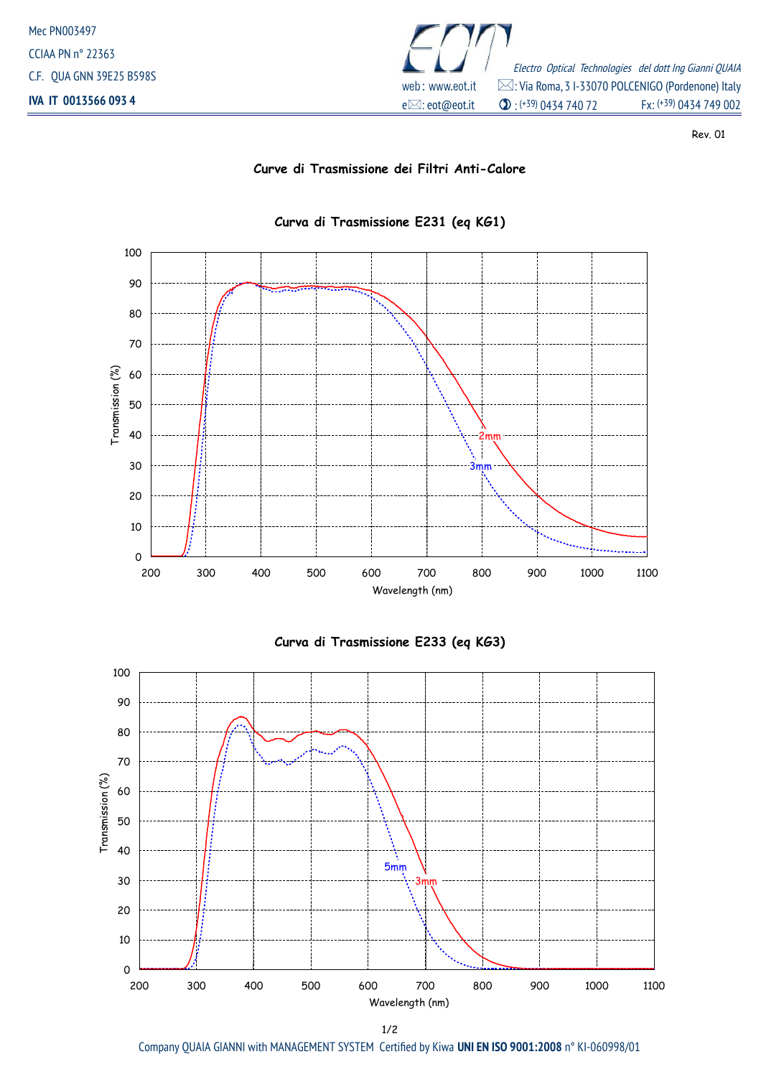

Rev. 01

## **Curve di Trasmissione dei Filtri Anti-Calore**



## **Curva di Trasmissione E231 (eq KG1)**





Company QUAIA GIANNI with MANAGEMENT SYSTEM Certified by Kiwa **UNI EN ISO 9001:2008** n° KI-060998/01